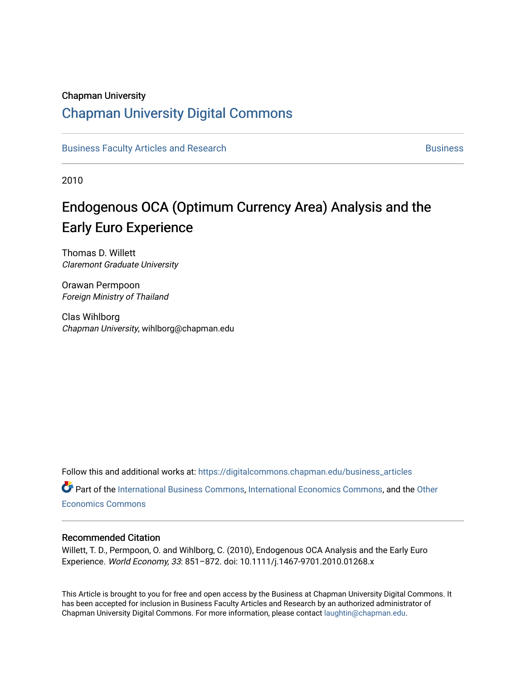# Chapman University

# [Chapman University Digital Commons](https://digitalcommons.chapman.edu/)

[Business Faculty Articles and Research](https://digitalcommons.chapman.edu/business_articles) [Business](https://digitalcommons.chapman.edu/business) **Business** Business

2010

# Endogenous OCA (Optimum Currency Area) Analysis and the Early Euro Experience

Thomas D. Willett Claremont Graduate University

Orawan Permpoon Foreign Ministry of Thailand

Clas Wihlborg Chapman University, wihlborg@chapman.edu

Follow this and additional works at: [https://digitalcommons.chapman.edu/business\\_articles](https://digitalcommons.chapman.edu/business_articles?utm_source=digitalcommons.chapman.edu%2Fbusiness_articles%2F44&utm_medium=PDF&utm_campaign=PDFCoverPages) 

Part of the [International Business Commons,](http://network.bepress.com/hgg/discipline/634?utm_source=digitalcommons.chapman.edu%2Fbusiness_articles%2F44&utm_medium=PDF&utm_campaign=PDFCoverPages) [International Economics Commons](http://network.bepress.com/hgg/discipline/348?utm_source=digitalcommons.chapman.edu%2Fbusiness_articles%2F44&utm_medium=PDF&utm_campaign=PDFCoverPages), and the [Other](http://network.bepress.com/hgg/discipline/353?utm_source=digitalcommons.chapman.edu%2Fbusiness_articles%2F44&utm_medium=PDF&utm_campaign=PDFCoverPages)  [Economics Commons](http://network.bepress.com/hgg/discipline/353?utm_source=digitalcommons.chapman.edu%2Fbusiness_articles%2F44&utm_medium=PDF&utm_campaign=PDFCoverPages) 

### Recommended Citation

Willett, T. D., Permpoon, O. and Wihlborg, C. (2010), Endogenous OCA Analysis and the Early Euro Experience. World Economy, 33: 851–872. doi: 10.1111/j.1467-9701.2010.01268.x

This Article is brought to you for free and open access by the Business at Chapman University Digital Commons. It has been accepted for inclusion in Business Faculty Articles and Research by an authorized administrator of Chapman University Digital Commons. For more information, please contact [laughtin@chapman.edu](mailto:laughtin@chapman.edu).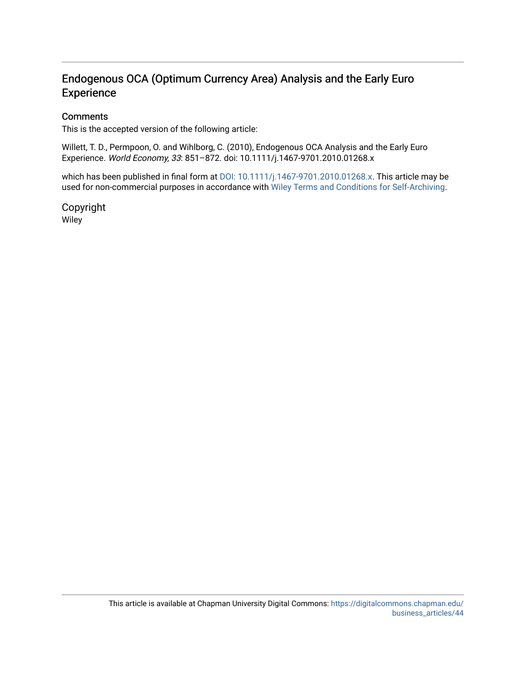# Endogenous OCA (Optimum Currency Area) Analysis and the Early Euro **Experience**

# **Comments**

This is the accepted version of the following article:

Willett, T. D., Permpoon, O. and Wihlborg, C. (2010), Endogenous OCA Analysis and the Early Euro Experience. World Economy, 33: 851–872. doi: 10.1111/j.1467-9701.2010.01268.x

which has been published in final form at [DOI: 10.1111/j.1467-9701.2010.01268.x](http://dx.doi.org/10.1111/j.1467-9701.2010.01268.x). This article may be used for non-commercial purposes in accordance with [Wiley Terms and Conditions for Self-Archiving](http://olabout.wiley.com/WileyCDA/Section/id-820227.html#terms).

Copyright Wiley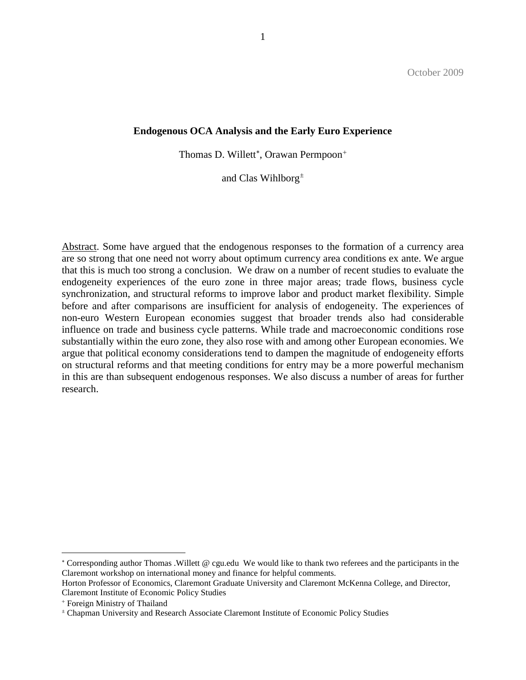### **Endogenous OCA Analysis and the Early Euro Experience**

Thomas D. Willett<sup>\*</sup>, Orawan Permpoon<sup>[+](#page-2-1)</sup>

and Clas Wihlborg[±](#page-2-2)

Abstract. Some have argued that the endogenous responses to the formation of a currency area are so strong that one need not worry about optimum currency area conditions ex ante. We argue that this is much too strong a conclusion. We draw on a number of recent studies to evaluate the endogeneity experiences of the euro zone in three major areas; trade flows, business cycle synchronization, and structural reforms to improve labor and product market flexibility. Simple before and after comparisons are insufficient for analysis of endogeneity. The experiences of non-euro Western European economies suggest that broader trends also had considerable influence on trade and business cycle patterns. While trade and macroeconomic conditions rose substantially within the euro zone, they also rose with and among other European economies. We argue that political economy considerations tend to dampen the magnitude of endogeneity efforts on structural reforms and that meeting conditions for entry may be a more powerful mechanism in this are than subsequent endogenous responses. We also discuss a number of areas for further research.

 $\overline{a}$ 

<span id="page-2-0"></span><sup>∗</sup> Corresponding author Thomas .Willett @ cgu.edu We would like to thank two referees and the participants in the Claremont workshop on international money and finance for helpful comments.

Horton Professor of Economics, Claremont Graduate University and Claremont McKenna College, and Director, Claremont Institute of Economic Policy Studies

<span id="page-2-1"></span><sup>+</sup> Foreign Ministry of Thailand

<span id="page-2-2"></span><sup>±</sup> Chapman University and Research Associate Claremont Institute of Economic Policy Studies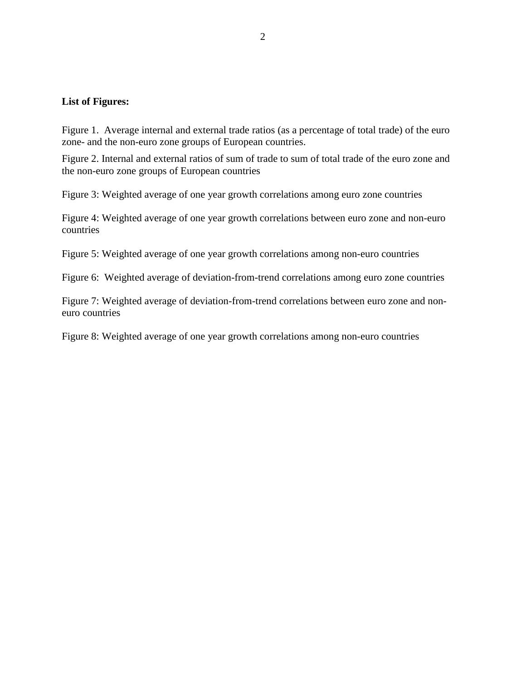# **List of Figures:**

Figure 1. Average internal and external trade ratios (as a percentage of total trade) of the euro zone- and the non-euro zone groups of European countries.

Figure 2. Internal and external ratios of sum of trade to sum of total trade of the euro zone and the non-euro zone groups of European countries

Figure 3: Weighted average of one year growth correlations among euro zone countries

Figure 4: Weighted average of one year growth correlations between euro zone and non-euro countries

Figure 5: Weighted average of one year growth correlations among non-euro countries

Figure 6: Weighted average of deviation-from-trend correlations among euro zone countries

Figure 7: Weighted average of deviation-from-trend correlations between euro zone and noneuro countries

Figure 8: Weighted average of one year growth correlations among non-euro countries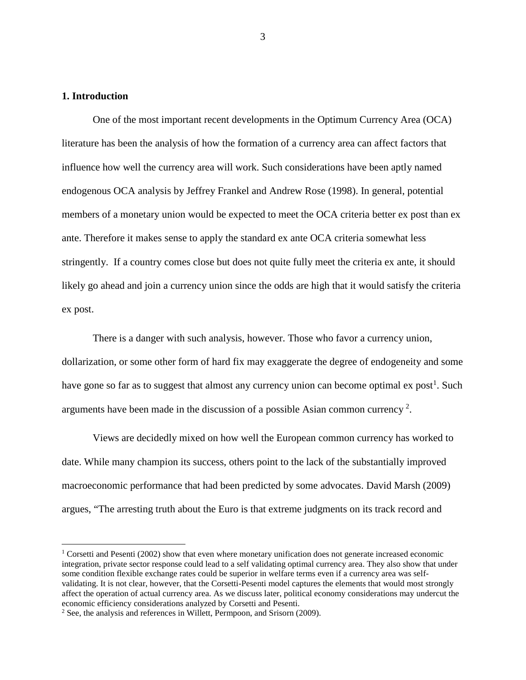# **1. Introduction**

One of the most important recent developments in the Optimum Currency Area (OCA) literature has been the analysis of how the formation of a currency area can affect factors that influence how well the currency area will work. Such considerations have been aptly named endogenous OCA analysis by Jeffrey Frankel and Andrew Rose (1998). In general, potential members of a monetary union would be expected to meet the OCA criteria better ex post than ex ante. Therefore it makes sense to apply the standard ex ante OCA criteria somewhat less stringently. If a country comes close but does not quite fully meet the criteria ex ante, it should likely go ahead and join a currency union since the odds are high that it would satisfy the criteria ex post.

There is a danger with such analysis, however. Those who favor a currency union, dollarization, or some other form of hard fix may exaggerate the degree of endogeneity and some have gone so far as to suggest that almost any currency union can become optimal ex post<sup>[1](#page-4-0)</sup>. Such arguments have been made in the discussion of a possible Asian common currency<sup>[2](#page-4-1)</sup>.

Views are decidedly mixed on how well the European common currency has worked to date. While many champion its success, others point to the lack of the substantially improved macroeconomic performance that had been predicted by some advocates. David Marsh (2009) argues, "The arresting truth about the Euro is that extreme judgments on its track record and

<span id="page-4-0"></span><sup>&</sup>lt;sup>1</sup> Corsetti and Pesenti (2002) show that even where monetary unification does not generate increased economic integration, private sector response could lead to a self validating optimal currency area. They also show that under some condition flexible exchange rates could be superior in welfare terms even if a currency area was selfvalidating. It is not clear, however, that the Corsetti-Pesenti model captures the elements that would most strongly affect the operation of actual currency area. As we discuss later, political economy considerations may undercut the economic efficiency considerations analyzed by Corsetti and Pesenti.

<span id="page-4-1"></span><sup>2</sup> See, the analysis and references in Willett, Permpoon, and Srisorn (2009).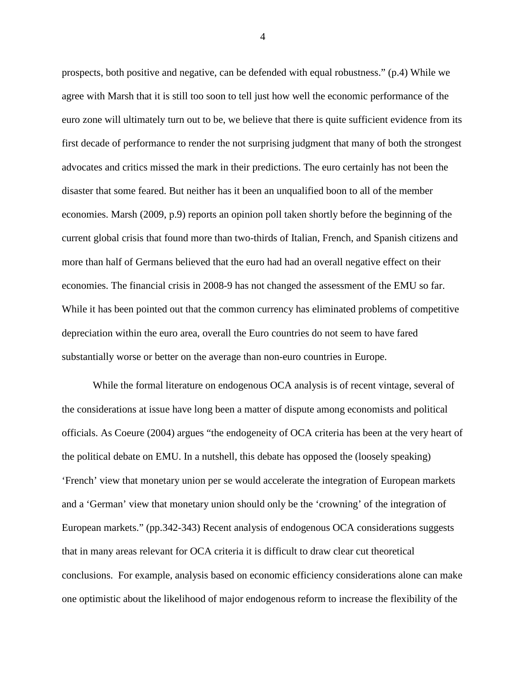prospects, both positive and negative, can be defended with equal robustness." (p.4) While we agree with Marsh that it is still too soon to tell just how well the economic performance of the euro zone will ultimately turn out to be, we believe that there is quite sufficient evidence from its first decade of performance to render the not surprising judgment that many of both the strongest advocates and critics missed the mark in their predictions. The euro certainly has not been the disaster that some feared. But neither has it been an unqualified boon to all of the member economies. Marsh (2009, p.9) reports an opinion poll taken shortly before the beginning of the current global crisis that found more than two-thirds of Italian, French, and Spanish citizens and more than half of Germans believed that the euro had had an overall negative effect on their economies. The financial crisis in 2008-9 has not changed the assessment of the EMU so far. While it has been pointed out that the common currency has eliminated problems of competitive depreciation within the euro area, overall the Euro countries do not seem to have fared substantially worse or better on the average than non-euro countries in Europe.

While the formal literature on endogenous OCA analysis is of recent vintage, several of the considerations at issue have long been a matter of dispute among economists and political officials. As Coeure (2004) argues "the endogeneity of OCA criteria has been at the very heart of the political debate on EMU. In a nutshell, this debate has opposed the (loosely speaking) 'French' view that monetary union per se would accelerate the integration of European markets and a 'German' view that monetary union should only be the 'crowning' of the integration of European markets." (pp.342-343) Recent analysis of endogenous OCA considerations suggests that in many areas relevant for OCA criteria it is difficult to draw clear cut theoretical conclusions. For example, analysis based on economic efficiency considerations alone can make one optimistic about the likelihood of major endogenous reform to increase the flexibility of the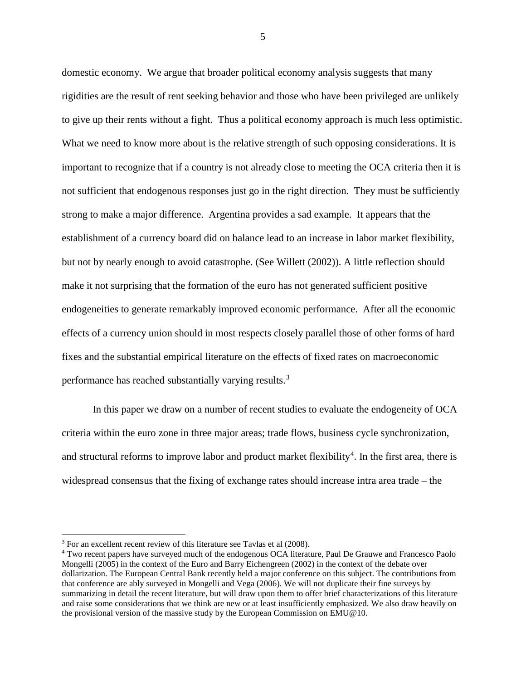domestic economy. We argue that broader political economy analysis suggests that many rigidities are the result of rent seeking behavior and those who have been privileged are unlikely to give up their rents without a fight. Thus a political economy approach is much less optimistic. What we need to know more about is the relative strength of such opposing considerations. It is important to recognize that if a country is not already close to meeting the OCA criteria then it is not sufficient that endogenous responses just go in the right direction. They must be sufficiently strong to make a major difference. Argentina provides a sad example. It appears that the establishment of a currency board did on balance lead to an increase in labor market flexibility, but not by nearly enough to avoid catastrophe. (See Willett (2002)). A little reflection should make it not surprising that the formation of the euro has not generated sufficient positive endogeneities to generate remarkably improved economic performance. After all the economic effects of a currency union should in most respects closely parallel those of other forms of hard fixes and the substantial empirical literature on the effects of fixed rates on macroeconomic performance has reached substantially varying results.<sup>[3](#page-6-0)</sup>

In this paper we draw on a number of recent studies to evaluate the endogeneity of OCA criteria within the euro zone in three major areas; trade flows, business cycle synchronization, and structural reforms to improve labor and product market flexibility<sup>[4](#page-6-1)</sup>. In the first area, there is widespread consensus that the fixing of exchange rates should increase intra area trade – the

<span id="page-6-0"></span><sup>&</sup>lt;sup>3</sup> For an excellent recent review of this literature see Tavlas et al (2008).

<span id="page-6-1"></span><sup>4</sup> Two recent papers have surveyed much of the endogenous OCA literature, Paul De Grauwe and Francesco Paolo Mongelli (2005) in the context of the Euro and Barry Eichengreen (2002) in the context of the debate over dollarization. The European Central Bank recently held a major conference on this subject. The contributions from that conference are ably surveyed in Mongelli and Vega (2006). We will not duplicate their fine surveys by summarizing in detail the recent literature, but will draw upon them to offer brief characterizations of this literature and raise some considerations that we think are new or at least insufficiently emphasized. We also draw heavily on the provisional version of the massive study by the European Commission on EMU@10.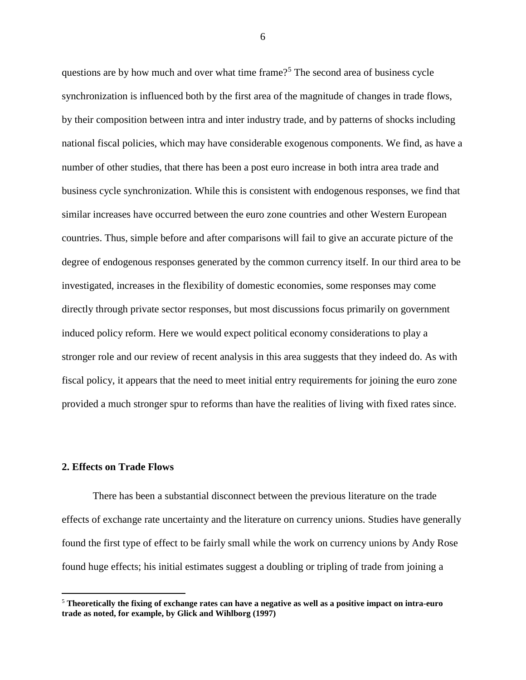questions are by how much and over what time frame?<sup>[5](#page-7-0)</sup> The second area of business cycle synchronization is influenced both by the first area of the magnitude of changes in trade flows, by their composition between intra and inter industry trade, and by patterns of shocks including national fiscal policies, which may have considerable exogenous components. We find, as have a number of other studies, that there has been a post euro increase in both intra area trade and business cycle synchronization. While this is consistent with endogenous responses, we find that similar increases have occurred between the euro zone countries and other Western European countries. Thus, simple before and after comparisons will fail to give an accurate picture of the degree of endogenous responses generated by the common currency itself. In our third area to be investigated, increases in the flexibility of domestic economies, some responses may come directly through private sector responses, but most discussions focus primarily on government induced policy reform. Here we would expect political economy considerations to play a stronger role and our review of recent analysis in this area suggests that they indeed do. As with fiscal policy, it appears that the need to meet initial entry requirements for joining the euro zone provided a much stronger spur to reforms than have the realities of living with fixed rates since.

## **2. Effects on Trade Flows**

There has been a substantial disconnect between the previous literature on the trade effects of exchange rate uncertainty and the literature on currency unions. Studies have generally found the first type of effect to be fairly small while the work on currency unions by Andy Rose found huge effects; his initial estimates suggest a doubling or tripling of trade from joining a

<span id="page-7-0"></span> <sup>5</sup> **Theoretically the fixing of exchange rates can have a negative as well as a positive impact on intra-euro trade as noted, for example, by Glick and Wihlborg (1997)**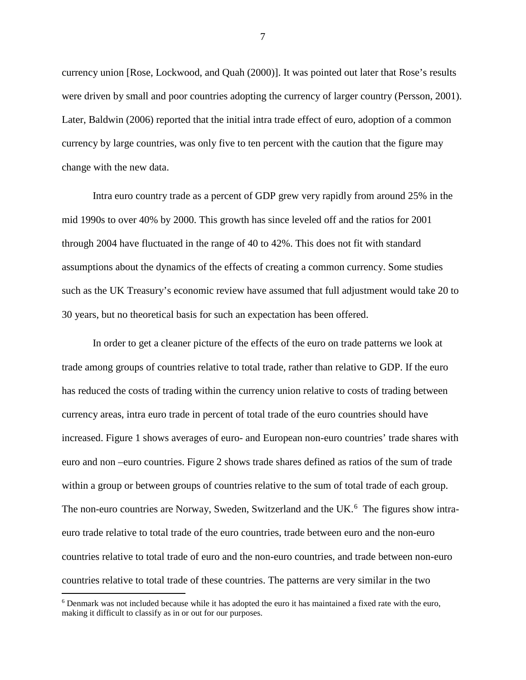currency union [Rose, Lockwood, and Quah (2000)]. It was pointed out later that Rose's results were driven by small and poor countries adopting the currency of larger country (Persson, 2001). Later, Baldwin (2006) reported that the initial intra trade effect of euro, adoption of a common currency by large countries, was only five to ten percent with the caution that the figure may change with the new data.

Intra euro country trade as a percent of GDP grew very rapidly from around 25% in the mid 1990s to over 40% by 2000. This growth has since leveled off and the ratios for 2001 through 2004 have fluctuated in the range of 40 to 42%. This does not fit with standard assumptions about the dynamics of the effects of creating a common currency. Some studies such as the UK Treasury's economic review have assumed that full adjustment would take 20 to 30 years, but no theoretical basis for such an expectation has been offered.

In order to get a cleaner picture of the effects of the euro on trade patterns we look at trade among groups of countries relative to total trade, rather than relative to GDP. If the euro has reduced the costs of trading within the currency union relative to costs of trading between currency areas, intra euro trade in percent of total trade of the euro countries should have increased. Figure 1 shows averages of euro- and European non-euro countries' trade shares with euro and non –euro countries. Figure 2 shows trade shares defined as ratios of the sum of trade within a group or between groups of countries relative to the sum of total trade of each group. The non-euro countries are Norway, Sweden, Switzerland and the UK.<sup>[6](#page-8-0)</sup> The figures show intraeuro trade relative to total trade of the euro countries, trade between euro and the non-euro countries relative to total trade of euro and the non-euro countries, and trade between non-euro countries relative to total trade of these countries. The patterns are very similar in the two

<span id="page-8-0"></span> <sup>6</sup> Denmark was not included because while it has adopted the euro it has maintained a fixed rate with the euro, making it difficult to classify as in or out for our purposes.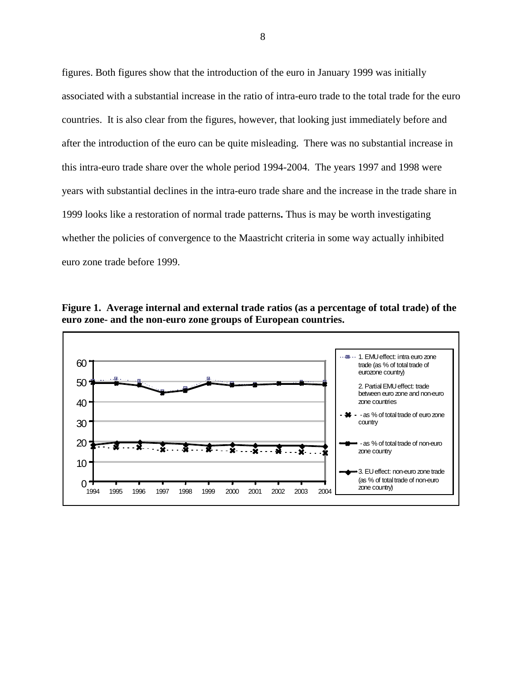figures. Both figures show that the introduction of the euro in January 1999 was initially associated with a substantial increase in the ratio of intra-euro trade to the total trade for the euro countries. It is also clear from the figures, however, that looking just immediately before and after the introduction of the euro can be quite misleading. There was no substantial increase in this intra-euro trade share over the whole period 1994-2004. The years 1997 and 1998 were years with substantial declines in the intra-euro trade share and the increase in the trade share in 1999 looks like a restoration of normal trade patterns**.** Thus is may be worth investigating whether the policies of convergence to the Maastricht criteria in some way actually inhibited euro zone trade before 1999.



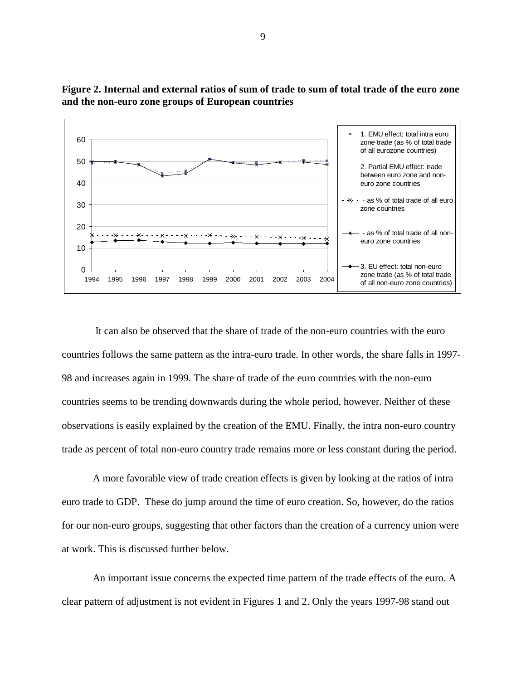

**Figure 2. Internal and external ratios of sum of trade to sum of total trade of the euro zone and the non-euro zone groups of European countries**

It can also be observed that the share of trade of the non-euro countries with the euro countries follows the same pattern as the intra-euro trade. In other words, the share falls in 1997- 98 and increases again in 1999. The share of trade of the euro countries with the non-euro countries seems to be trending downwards during the whole period, however. Neither of these observations is easily explained by the creation of the EMU. Finally, the intra non-euro country trade as percent of total non-euro country trade remains more or less constant during the period.

A more favorable view of trade creation effects is given by looking at the ratios of intra euro trade to GDP. These do jump around the time of euro creation. So, however, do the ratios for our non-euro groups, suggesting that other factors than the creation of a currency union were at work. This is discussed further below.

An important issue concerns the expected time pattern of the trade effects of the euro. A clear pattern of adjustment is not evident in Figures 1 and 2. Only the years 1997-98 stand out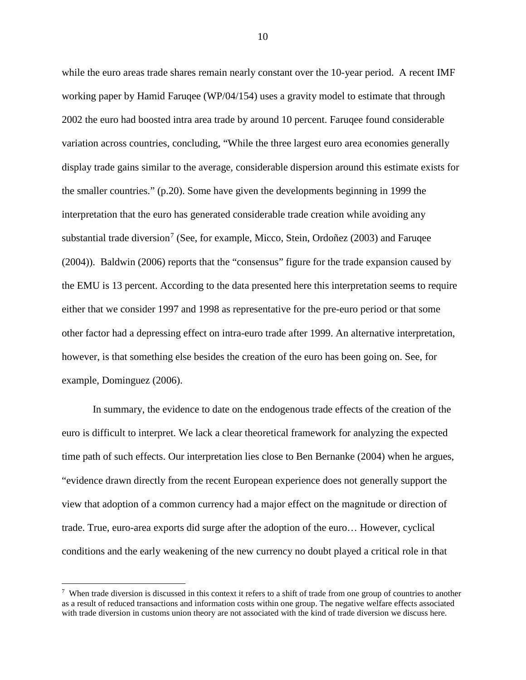while the euro areas trade shares remain nearly constant over the 10-year period. A recent IMF working paper by Hamid Faruqee (WP/04/154) uses a gravity model to estimate that through 2002 the euro had boosted intra area trade by around 10 percent. Faruqee found considerable variation across countries, concluding, "While the three largest euro area economies generally display trade gains similar to the average, considerable dispersion around this estimate exists for the smaller countries." (p.20). Some have given the developments beginning in 1999 the interpretation that the euro has generated considerable trade creation while avoiding any substantial trade diversion<sup>[7](#page-11-0)</sup> (See, for example, Micco, Stein, Ordoñez (2003) and Faruqee (2004)). Baldwin (2006) reports that the "consensus" figure for the trade expansion caused by the EMU is 13 percent. According to the data presented here this interpretation seems to require either that we consider 1997 and 1998 as representative for the pre-euro period or that some other factor had a depressing effect on intra-euro trade after 1999. An alternative interpretation, however, is that something else besides the creation of the euro has been going on. See, for example, Dominguez (2006).

In summary, the evidence to date on the endogenous trade effects of the creation of the euro is difficult to interpret. We lack a clear theoretical framework for analyzing the expected time path of such effects. Our interpretation lies close to Ben Bernanke (2004) when he argues, "evidence drawn directly from the recent European experience does not generally support the view that adoption of a common currency had a major effect on the magnitude or direction of trade. True, euro-area exports did surge after the adoption of the euro… However, cyclical conditions and the early weakening of the new currency no doubt played a critical role in that

<span id="page-11-0"></span><sup>-&</sup>lt;br>7  $\frac{7}{1}$  When trade diversion is discussed in this context it refers to a shift of trade from one group of countries to another as a result of reduced transactions and information costs within one group. The negative welfare effects associated with trade diversion in customs union theory are not associated with the kind of trade diversion we discuss here.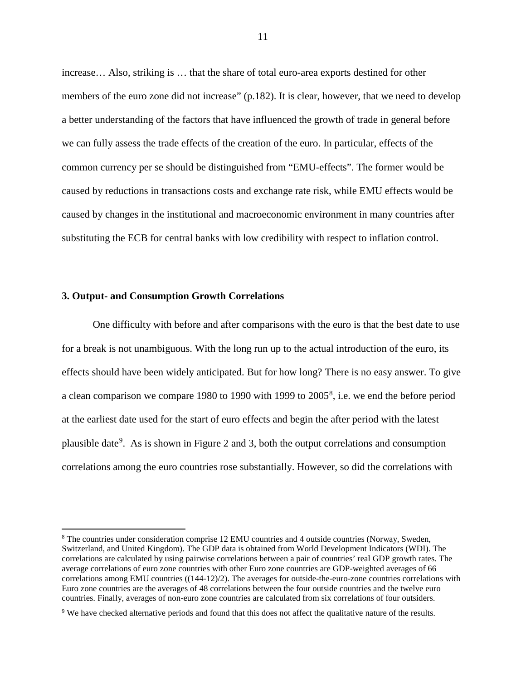increase… Also, striking is … that the share of total euro-area exports destined for other members of the euro zone did not increase" (p.182). It is clear, however, that we need to develop a better understanding of the factors that have influenced the growth of trade in general before we can fully assess the trade effects of the creation of the euro. In particular, effects of the common currency per se should be distinguished from "EMU-effects". The former would be caused by reductions in transactions costs and exchange rate risk, while EMU effects would be caused by changes in the institutional and macroeconomic environment in many countries after substituting the ECB for central banks with low credibility with respect to inflation control.

#### **3. Output- and Consumption Growth Correlations**

One difficulty with before and after comparisons with the euro is that the best date to use for a break is not unambiguous. With the long run up to the actual introduction of the euro, its effects should have been widely anticipated. But for how long? There is no easy answer. To give a clean comparison we compare 19[8](#page-12-0)0 to 1990 with 1999 to 2005<sup>8</sup>, i.e. we end the before period at the earliest date used for the start of euro effects and begin the after period with the latest plausible date<sup>[9](#page-12-1)</sup>. As is shown in Figure 2 and 3, both the output correlations and consumption correlations among the euro countries rose substantially. However, so did the correlations with

<span id="page-12-0"></span> <sup>8</sup> The countries under consideration comprise 12 EMU countries and 4 outside countries (Norway, Sweden, Switzerland, and United Kingdom). The GDP data is obtained from World Development Indicators (WDI). The correlations are calculated by using pairwise correlations between a pair of countries' real GDP growth rates. The average correlations of euro zone countries with other Euro zone countries are GDP-weighted averages of 66 correlations among EMU countries ((144-12)/2). The averages for outside-the-euro-zone countries correlations with Euro zone countries are the averages of 48 correlations between the four outside countries and the twelve euro countries. Finally, averages of non-euro zone countries are calculated from six correlations of four outsiders.

<span id="page-12-1"></span><sup>9</sup> We have checked alternative periods and found that this does not affect the qualitative nature of the results.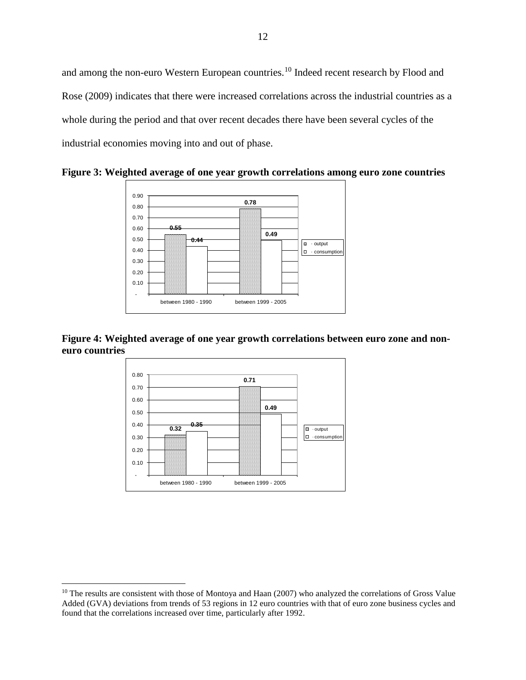and among the non-euro Western European countries.<sup>[10](#page-13-0)</sup> Indeed recent research by Flood and Rose (2009) indicates that there were increased correlations across the industrial countries as a whole during the period and that over recent decades there have been several cycles of the industrial economies moving into and out of phase.

**0.55 0.78 0.44 0.49** - 0.10 0.20 0.30 0.40 0.50 0.60 0.70 0.80 0.90 between 1980 - 1990 between 1999 - 2005  $\Box$   $\cdot$  output  $\boxed{\Box}$  · consumption

**Figure 3: Weighted average of one year growth correlations among euro zone countries**

**Figure 4: Weighted average of one year growth correlations between euro zone and noneuro countries**



<span id="page-13-0"></span> $10$  The results are consistent with those of Montoya and Haan (2007) who analyzed the correlations of Gross Value Added (GVA) deviations from trends of 53 regions in 12 euro countries with that of euro zone business cycles and found that the correlations increased over time, particularly after 1992.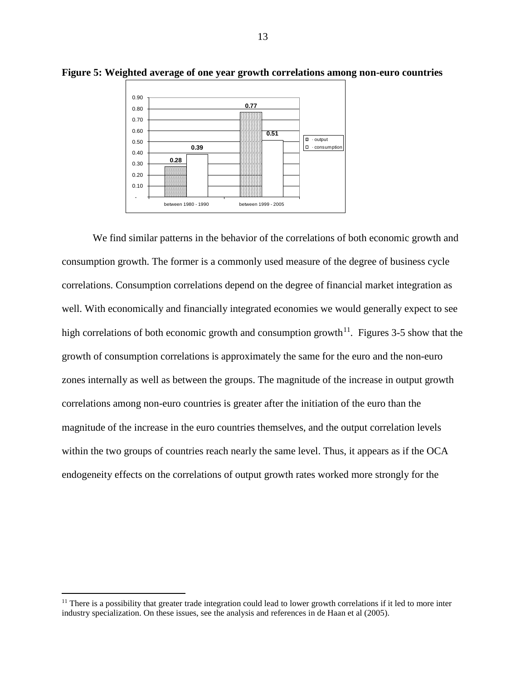

**Figure 5: Weighted average of one year growth correlations among non-euro countries**

We find similar patterns in the behavior of the correlations of both economic growth and consumption growth. The former is a commonly used measure of the degree of business cycle correlations. Consumption correlations depend on the degree of financial market integration as well. With economically and financially integrated economies we would generally expect to see high correlations of both economic growth and consumption growth<sup>[11](#page-14-0)</sup>. Figures 3-5 show that the growth of consumption correlations is approximately the same for the euro and the non-euro zones internally as well as between the groups. The magnitude of the increase in output growth correlations among non-euro countries is greater after the initiation of the euro than the magnitude of the increase in the euro countries themselves, and the output correlation levels within the two groups of countries reach nearly the same level. Thus, it appears as if the OCA endogeneity effects on the correlations of output growth rates worked more strongly for the

<span id="page-14-0"></span> $<sup>11</sup>$  There is a possibility that greater trade integration could lead to lower growth correlations if it led to more inter</sup> industry specialization. On these issues, see the analysis and references in de Haan et al (2005).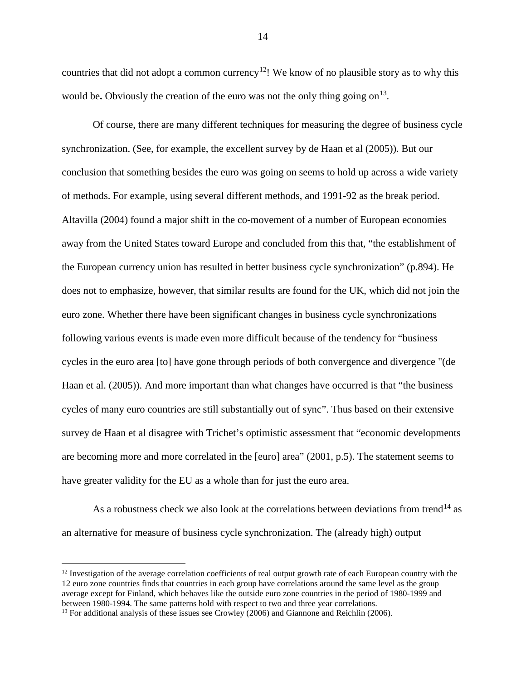countries that did not adopt a common currency<sup>[12](#page-15-0)</sup>! We know of no plausible story as to why this would be. Obviously the creation of the euro was not the only thing going on<sup>[13](#page-15-1)</sup>.

Of course, there are many different techniques for measuring the degree of business cycle synchronization. (See, for example, the excellent survey by de Haan et al (2005)). But our conclusion that something besides the euro was going on seems to hold up across a wide variety of methods. For example, using several different methods, and 1991-92 as the break period. Altavilla (2004) found a major shift in the co-movement of a number of European economies away from the United States toward Europe and concluded from this that, "the establishment of the European currency union has resulted in better business cycle synchronization" (p.894). He does not to emphasize, however, that similar results are found for the UK, which did not join the euro zone. Whether there have been significant changes in business cycle synchronizations following various events is made even more difficult because of the tendency for "business cycles in the euro area [to] have gone through periods of both convergence and divergence "(de Haan et al. (2005)). And more important than what changes have occurred is that "the business cycles of many euro countries are still substantially out of sync". Thus based on their extensive survey de Haan et al disagree with Trichet's optimistic assessment that "economic developments are becoming more and more correlated in the [euro] area" (2001, p.5). The statement seems to have greater validity for the EU as a whole than for just the euro area.

As a robustness check we also look at the correlations between deviations from trend<sup>[14](#page-15-2)</sup> as an alternative for measure of business cycle synchronization. The (already high) output

<span id="page-15-0"></span> $12$  Investigation of the average correlation coefficients of real output growth rate of each European country with the 12 euro zone countries finds that countries in each group have correlations around the same level as the group average except for Finland, which behaves like the outside euro zone countries in the period of 1980-1999 and<br>between 1980-1994. The same patterns hold with respect to two and three year correlations.

<span id="page-15-2"></span><span id="page-15-1"></span> $^{13}$  For additional analysis of these issues see Crowley (2006) and Giannone and Reichlin (2006).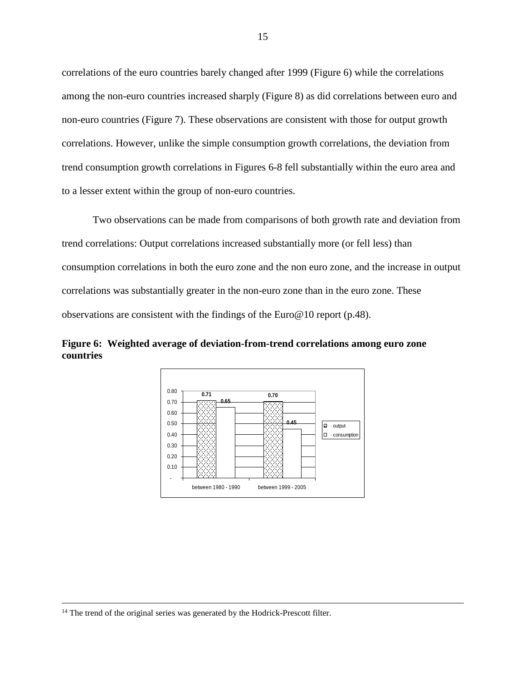correlations of the euro countries barely changed after 1999 (Figure 6) while the correlations among the non-euro countries increased sharply (Figure 8) as did correlations between euro and non-euro countries (Figure 7). These observations are consistent with those for output growth correlations. However, unlike the simple consumption growth correlations, the deviation from trend consumption growth correlations in Figures 6-8 fell substantially within the euro area and to a lesser extent within the group of non-euro countries.

Two observations can be made from comparisons of both growth rate and deviation from trend correlations: Output correlations increased substantially more (or fell less) than consumption correlations in both the euro zone and the non euro zone, and the increase in output correlations was substantially greater in the non-euro zone than in the euro zone. These observations are consistent with the findings of the Euro@10 report (p.48).

**Figure 6: Weighted average of deviation-from-trend correlations among euro zone countries**



<sup>&</sup>lt;sup>14</sup> The trend of the original series was generated by the Hodrick-Prescott filter.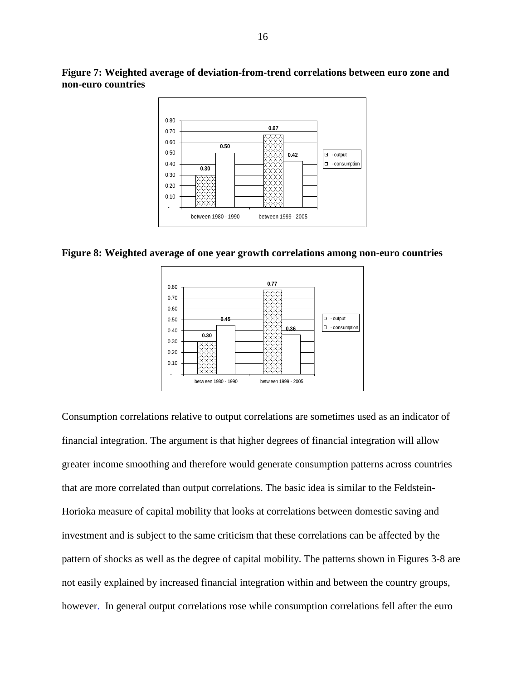

**Figure 7: Weighted average of deviation-from-trend correlations between euro zone and non-euro countries**

**Figure 8: Weighted average of one year growth correlations among non-euro countries**



Consumption correlations relative to output correlations are sometimes used as an indicator of financial integration. The argument is that higher degrees of financial integration will allow greater income smoothing and therefore would generate consumption patterns across countries that are more correlated than output correlations. The basic idea is similar to the Feldstein-Horioka measure of capital mobility that looks at correlations between domestic saving and investment and is subject to the same criticism that these correlations can be affected by the pattern of shocks as well as the degree of capital mobility. The patterns shown in Figures 3-8 are not easily explained by increased financial integration within and between the country groups, however. In general output correlations rose while consumption correlations fell after the euro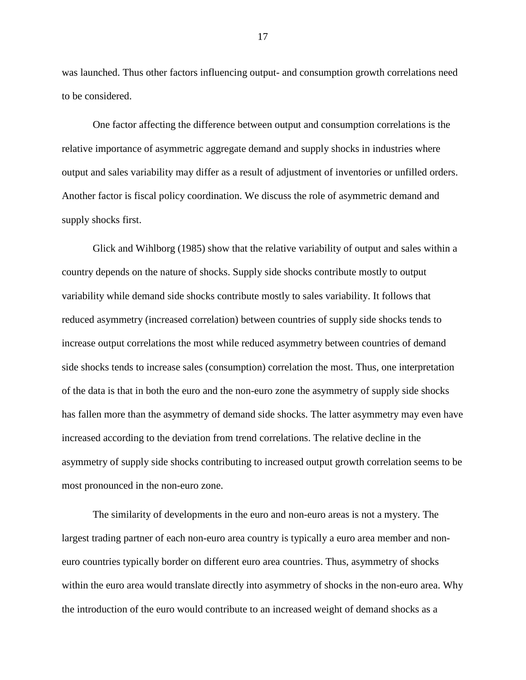was launched. Thus other factors influencing output- and consumption growth correlations need to be considered.

 One factor affecting the difference between output and consumption correlations is the relative importance of asymmetric aggregate demand and supply shocks in industries where output and sales variability may differ as a result of adjustment of inventories or unfilled orders. Another factor is fiscal policy coordination. We discuss the role of asymmetric demand and supply shocks first.

Glick and Wihlborg (1985) show that the relative variability of output and sales within a country depends on the nature of shocks. Supply side shocks contribute mostly to output variability while demand side shocks contribute mostly to sales variability. It follows that reduced asymmetry (increased correlation) between countries of supply side shocks tends to increase output correlations the most while reduced asymmetry between countries of demand side shocks tends to increase sales (consumption) correlation the most. Thus, one interpretation of the data is that in both the euro and the non-euro zone the asymmetry of supply side shocks has fallen more than the asymmetry of demand side shocks. The latter asymmetry may even have increased according to the deviation from trend correlations. The relative decline in the asymmetry of supply side shocks contributing to increased output growth correlation seems to be most pronounced in the non-euro zone.

The similarity of developments in the euro and non-euro areas is not a mystery. The largest trading partner of each non-euro area country is typically a euro area member and noneuro countries typically border on different euro area countries. Thus, asymmetry of shocks within the euro area would translate directly into asymmetry of shocks in the non-euro area. Why the introduction of the euro would contribute to an increased weight of demand shocks as a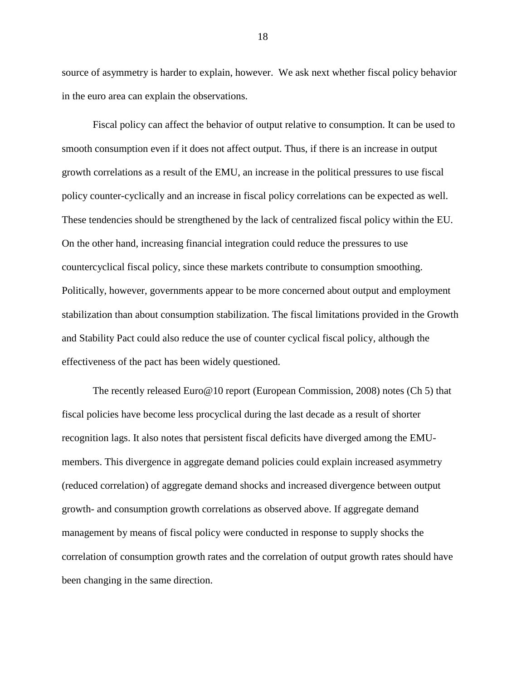source of asymmetry is harder to explain, however. We ask next whether fiscal policy behavior in the euro area can explain the observations.

Fiscal policy can affect the behavior of output relative to consumption. It can be used to smooth consumption even if it does not affect output. Thus, if there is an increase in output growth correlations as a result of the EMU, an increase in the political pressures to use fiscal policy counter-cyclically and an increase in fiscal policy correlations can be expected as well. These tendencies should be strengthened by the lack of centralized fiscal policy within the EU. On the other hand, increasing financial integration could reduce the pressures to use countercyclical fiscal policy, since these markets contribute to consumption smoothing. Politically, however, governments appear to be more concerned about output and employment stabilization than about consumption stabilization. The fiscal limitations provided in the Growth and Stability Pact could also reduce the use of counter cyclical fiscal policy, although the effectiveness of the pact has been widely questioned.

The recently released Euro@10 report (European Commission, 2008) notes (Ch 5) that fiscal policies have become less procyclical during the last decade as a result of shorter recognition lags. It also notes that persistent fiscal deficits have diverged among the EMUmembers. This divergence in aggregate demand policies could explain increased asymmetry (reduced correlation) of aggregate demand shocks and increased divergence between output growth- and consumption growth correlations as observed above. If aggregate demand management by means of fiscal policy were conducted in response to supply shocks the correlation of consumption growth rates and the correlation of output growth rates should have been changing in the same direction.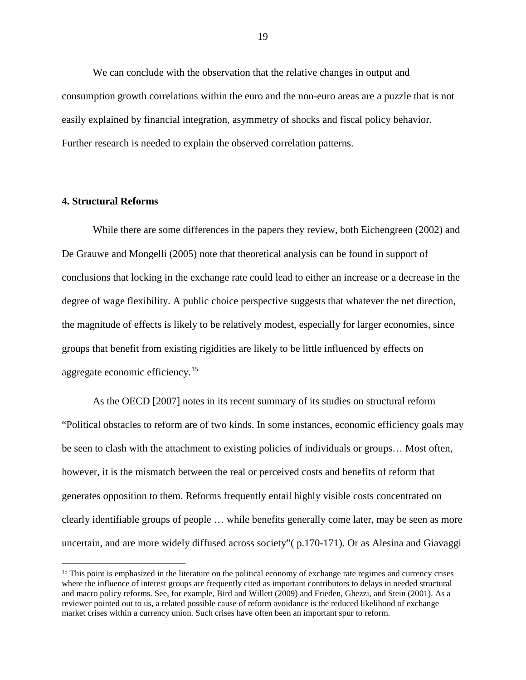We can conclude with the observation that the relative changes in output and consumption growth correlations within the euro and the non-euro areas are a puzzle that is not easily explained by financial integration, asymmetry of shocks and fiscal policy behavior. Further research is needed to explain the observed correlation patterns.

## **4. Structural Reforms**

While there are some differences in the papers they review, both Eichengreen (2002) and De Grauwe and Mongelli (2005) note that theoretical analysis can be found in support of conclusions that locking in the exchange rate could lead to either an increase or a decrease in the degree of wage flexibility. A public choice perspective suggests that whatever the net direction, the magnitude of effects is likely to be relatively modest, especially for larger economies, since groups that benefit from existing rigidities are likely to be little influenced by effects on aggregate economic efficiency.<sup>[15](#page-20-0)</sup>

As the OECD [2007] notes in its recent summary of its studies on structural reform "Political obstacles to reform are of two kinds. In some instances, economic efficiency goals may be seen to clash with the attachment to existing policies of individuals or groups… Most often, however, it is the mismatch between the real or perceived costs and benefits of reform that generates opposition to them. Reforms frequently entail highly visible costs concentrated on clearly identifiable groups of people … while benefits generally come later, may be seen as more uncertain, and are more widely diffused across society"( p.170-171). Or as Alesina and Giavaggi

<span id="page-20-0"></span><sup>&</sup>lt;sup>15</sup> This point is emphasized in the literature on the political economy of exchange rate regimes and currency crises where the influence of interest groups are frequently cited as important contributors to delays in needed structural and macro policy reforms. See, for example, Bird and Willett (2009) and Frieden, Ghezzi, and Stein (2001). As a reviewer pointed out to us, a related possible cause of reform avoidance is the reduced likelihood of exchange market crises within a currency union. Such crises have often been an important spur to reform.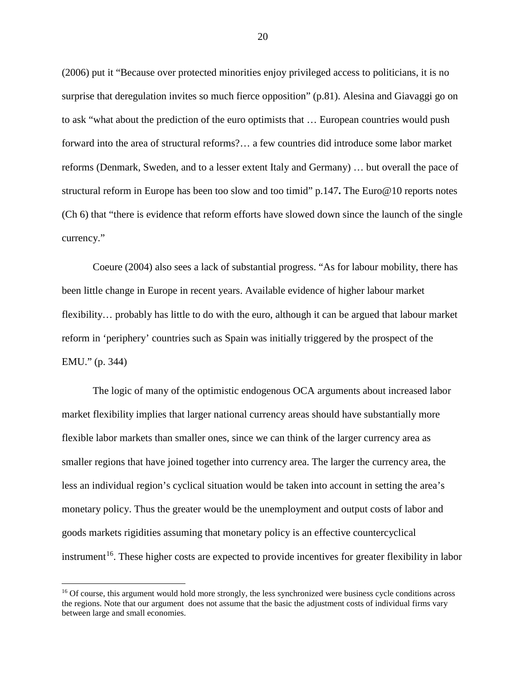(2006) put it "Because over protected minorities enjoy privileged access to politicians, it is no surprise that deregulation invites so much fierce opposition" (p.81). Alesina and Giavaggi go on to ask "what about the prediction of the euro optimists that … European countries would push forward into the area of structural reforms?… a few countries did introduce some labor market reforms (Denmark, Sweden, and to a lesser extent Italy and Germany) … but overall the pace of structural reform in Europe has been too slow and too timid" p.147**.** The Euro@10 reports notes (Ch 6) that "there is evidence that reform efforts have slowed down since the launch of the single currency."

Coeure (2004) also sees a lack of substantial progress. "As for labour mobility, there has been little change in Europe in recent years. Available evidence of higher labour market flexibility… probably has little to do with the euro, although it can be argued that labour market reform in 'periphery' countries such as Spain was initially triggered by the prospect of the EMU." (p. 344)

The logic of many of the optimistic endogenous OCA arguments about increased labor market flexibility implies that larger national currency areas should have substantially more flexible labor markets than smaller ones, since we can think of the larger currency area as smaller regions that have joined together into currency area. The larger the currency area, the less an individual region's cyclical situation would be taken into account in setting the area's monetary policy. Thus the greater would be the unemployment and output costs of labor and goods markets rigidities assuming that monetary policy is an effective countercyclical instrument<sup>[16](#page-21-0)</sup>. These higher costs are expected to provide incentives for greater flexibility in labor

<span id="page-21-0"></span><sup>&</sup>lt;sup>16</sup> Of course, this argument would hold more strongly, the less synchronized were business cycle conditions across the regions. Note that our argument does not assume that the basic the adjustment costs of individual firms vary between large and small economies.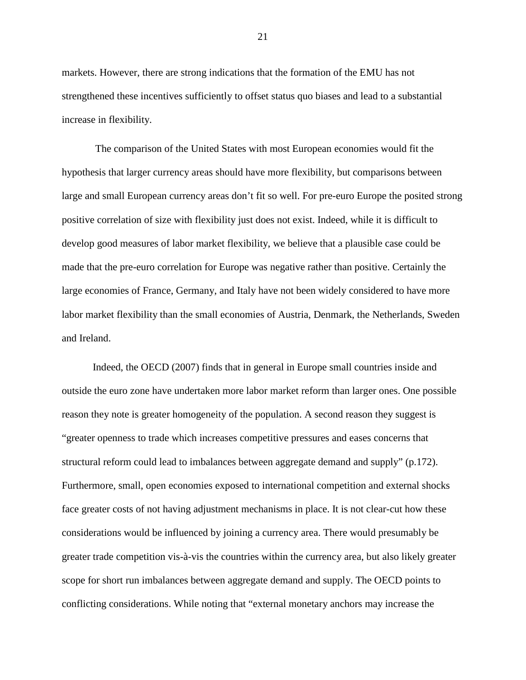markets. However, there are strong indications that the formation of the EMU has not strengthened these incentives sufficiently to offset status quo biases and lead to a substantial increase in flexibility.

The comparison of the United States with most European economies would fit the hypothesis that larger currency areas should have more flexibility, but comparisons between large and small European currency areas don't fit so well. For pre-euro Europe the posited strong positive correlation of size with flexibility just does not exist. Indeed, while it is difficult to develop good measures of labor market flexibility, we believe that a plausible case could be made that the pre-euro correlation for Europe was negative rather than positive. Certainly the large economies of France, Germany, and Italy have not been widely considered to have more labor market flexibility than the small economies of Austria, Denmark, the Netherlands, Sweden and Ireland.

Indeed, the OECD (2007) finds that in general in Europe small countries inside and outside the euro zone have undertaken more labor market reform than larger ones. One possible reason they note is greater homogeneity of the population. A second reason they suggest is "greater openness to trade which increases competitive pressures and eases concerns that structural reform could lead to imbalances between aggregate demand and supply" (p.172). Furthermore, small, open economies exposed to international competition and external shocks face greater costs of not having adjustment mechanisms in place. It is not clear-cut how these considerations would be influenced by joining a currency area. There would presumably be greater trade competition vis-à-vis the countries within the currency area, but also likely greater scope for short run imbalances between aggregate demand and supply. The OECD points to conflicting considerations. While noting that "external monetary anchors may increase the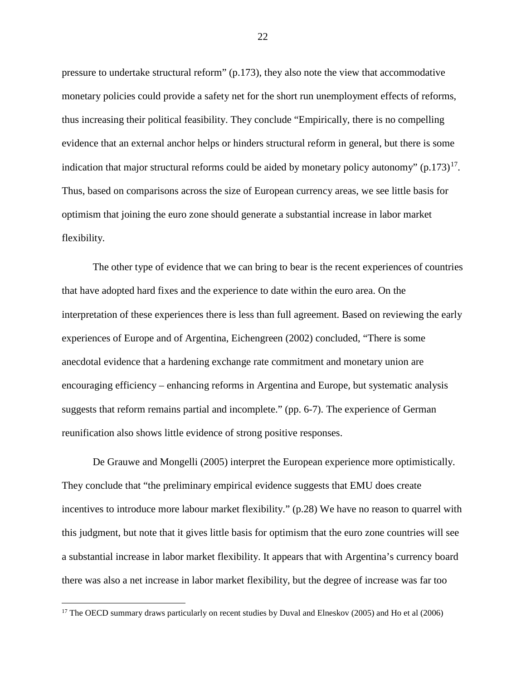pressure to undertake structural reform" (p.173), they also note the view that accommodative monetary policies could provide a safety net for the short run unemployment effects of reforms, thus increasing their political feasibility. They conclude "Empirically, there is no compelling evidence that an external anchor helps or hinders structural reform in general, but there is some indication that major structural reforms could be aided by monetary policy autonomy"  $(p.173)^{17}$ . Thus, based on comparisons across the size of European currency areas, we see little basis for optimism that joining the euro zone should generate a substantial increase in labor market flexibility.

The other type of evidence that we can bring to bear is the recent experiences of countries that have adopted hard fixes and the experience to date within the euro area. On the interpretation of these experiences there is less than full agreement. Based on reviewing the early experiences of Europe and of Argentina, Eichengreen (2002) concluded, "There is some anecdotal evidence that a hardening exchange rate commitment and monetary union are encouraging efficiency – enhancing reforms in Argentina and Europe, but systematic analysis suggests that reform remains partial and incomplete." (pp. 6-7). The experience of German reunification also shows little evidence of strong positive responses.

De Grauwe and Mongelli (2005) interpret the European experience more optimistically. They conclude that "the preliminary empirical evidence suggests that EMU does create incentives to introduce more labour market flexibility." (p.28) We have no reason to quarrel with this judgment, but note that it gives little basis for optimism that the euro zone countries will see a substantial increase in labor market flexibility. It appears that with Argentina's currency board there was also a net increase in labor market flexibility, but the degree of increase was far too

<span id="page-23-0"></span><sup>&</sup>lt;sup>17</sup> The OECD summary draws particularly on recent studies by Duval and Elneskov (2005) and Ho et al (2006)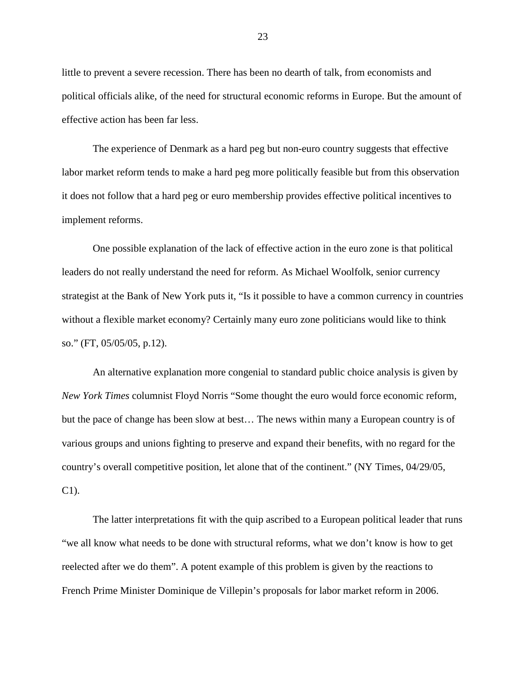little to prevent a severe recession. There has been no dearth of talk, from economists and political officials alike, of the need for structural economic reforms in Europe. But the amount of effective action has been far less.

The experience of Denmark as a hard peg but non-euro country suggests that effective labor market reform tends to make a hard peg more politically feasible but from this observation it does not follow that a hard peg or euro membership provides effective political incentives to implement reforms.

One possible explanation of the lack of effective action in the euro zone is that political leaders do not really understand the need for reform. As Michael Woolfolk, senior currency strategist at the Bank of New York puts it, "Is it possible to have a common currency in countries without a flexible market economy? Certainly many euro zone politicians would like to think so." (FT, 05/05/05, p.12).

An alternative explanation more congenial to standard public choice analysis is given by *New York Times* columnist Floyd Norris "Some thought the euro would force economic reform, but the pace of change has been slow at best… The news within many a European country is of various groups and unions fighting to preserve and expand their benefits, with no regard for the country's overall competitive position, let alone that of the continent." (NY Times, 04/29/05, C1).

The latter interpretations fit with the quip ascribed to a European political leader that runs "we all know what needs to be done with structural reforms, what we don't know is how to get reelected after we do them". A potent example of this problem is given by the reactions to French Prime Minister Dominique de Villepin's proposals for labor market reform in 2006.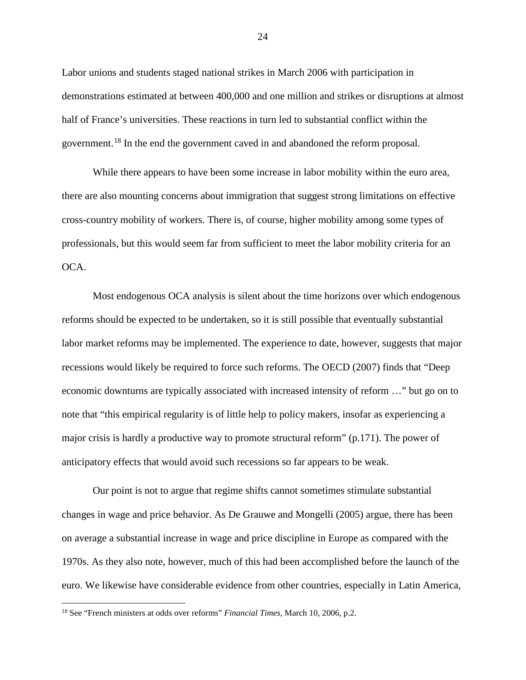Labor unions and students staged national strikes in March 2006 with participation in demonstrations estimated at between 400,000 and one million and strikes or disruptions at almost half of France's universities. These reactions in turn led to substantial conflict within the government.[18](#page-25-0) In the end the government caved in and abandoned the reform proposal.

While there appears to have been some increase in labor mobility within the euro area, there are also mounting concerns about immigration that suggest strong limitations on effective cross-country mobility of workers. There is, of course, higher mobility among some types of professionals, but this would seem far from sufficient to meet the labor mobility criteria for an OCA.

Most endogenous OCA analysis is silent about the time horizons over which endogenous reforms should be expected to be undertaken, so it is still possible that eventually substantial labor market reforms may be implemented. The experience to date, however, suggests that major recessions would likely be required to force such reforms. The OECD (2007) finds that "Deep economic downturns are typically associated with increased intensity of reform …" but go on to note that "this empirical regularity is of little help to policy makers, insofar as experiencing a major crisis is hardly a productive way to promote structural reform" (p.171). The power of anticipatory effects that would avoid such recessions so far appears to be weak.

Our point is not to argue that regime shifts cannot sometimes stimulate substantial changes in wage and price behavior. As De Grauwe and Mongelli (2005) argue, there has been on average a substantial increase in wage and price discipline in Europe as compared with the 1970s. As they also note, however, much of this had been accomplished before the launch of the euro. We likewise have considerable evidence from other countries, especially in Latin America,

<span id="page-25-0"></span> <sup>18</sup> See "French ministers at odds over reforms" *Financial Times*, March 10, 2006, p.2.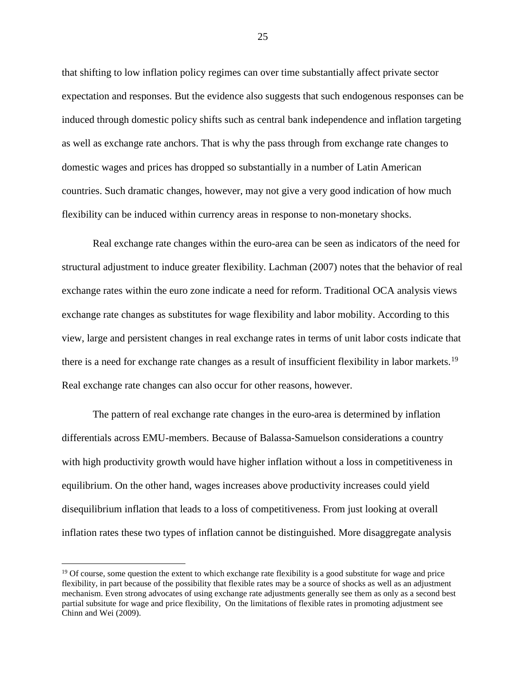that shifting to low inflation policy regimes can over time substantially affect private sector expectation and responses. But the evidence also suggests that such endogenous responses can be induced through domestic policy shifts such as central bank independence and inflation targeting as well as exchange rate anchors. That is why the pass through from exchange rate changes to domestic wages and prices has dropped so substantially in a number of Latin American countries. Such dramatic changes, however, may not give a very good indication of how much flexibility can be induced within currency areas in response to non-monetary shocks.

Real exchange rate changes within the euro-area can be seen as indicators of the need for structural adjustment to induce greater flexibility. Lachman (2007) notes that the behavior of real exchange rates within the euro zone indicate a need for reform. Traditional OCA analysis views exchange rate changes as substitutes for wage flexibility and labor mobility. According to this view, large and persistent changes in real exchange rates in terms of unit labor costs indicate that there is a need for exchange rate changes as a result of insufficient flexibility in labor markets.<sup>19</sup> Real exchange rate changes can also occur for other reasons, however.

The pattern of real exchange rate changes in the euro-area is determined by inflation differentials across EMU-members. Because of Balassa-Samuelson considerations a country with high productivity growth would have higher inflation without a loss in competitiveness in equilibrium. On the other hand, wages increases above productivity increases could yield disequilibrium inflation that leads to a loss of competitiveness. From just looking at overall inflation rates these two types of inflation cannot be distinguished. More disaggregate analysis

<span id="page-26-0"></span> $19$  Of course, some question the extent to which exchange rate flexibility is a good substitute for wage and price flexibility, in part because of the possibility that flexible rates may be a source of shocks as well as an adjustment mechanism. Even strong advocates of using exchange rate adjustments generally see them as only as a second best partial subsitute for wage and price flexibility, On the limitations of flexible rates in promoting adjustment see Chinn and Wei (2009).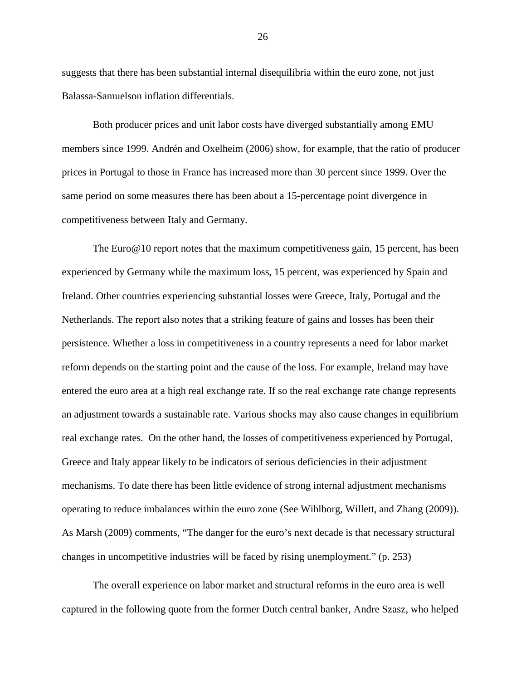suggests that there has been substantial internal disequilibria within the euro zone, not just Balassa-Samuelson inflation differentials.

Both producer prices and unit labor costs have diverged substantially among EMU members since 1999. Andrén and Oxelheim (2006) show, for example, that the ratio of producer prices in Portugal to those in France has increased more than 30 percent since 1999. Over the same period on some measures there has been about a 15-percentage point divergence in competitiveness between Italy and Germany.

The Euro $\omega$  10 report notes that the maximum competitiveness gain, 15 percent, has been experienced by Germany while the maximum loss, 15 percent, was experienced by Spain and Ireland. Other countries experiencing substantial losses were Greece, Italy, Portugal and the Netherlands. The report also notes that a striking feature of gains and losses has been their persistence. Whether a loss in competitiveness in a country represents a need for labor market reform depends on the starting point and the cause of the loss. For example, Ireland may have entered the euro area at a high real exchange rate. If so the real exchange rate change represents an adjustment towards a sustainable rate. Various shocks may also cause changes in equilibrium real exchange rates. On the other hand, the losses of competitiveness experienced by Portugal, Greece and Italy appear likely to be indicators of serious deficiencies in their adjustment mechanisms. To date there has been little evidence of strong internal adjustment mechanisms operating to reduce imbalances within the euro zone (See Wihlborg, Willett, and Zhang (2009)). As Marsh (2009) comments, "The danger for the euro's next decade is that necessary structural changes in uncompetitive industries will be faced by rising unemployment." (p. 253)

The overall experience on labor market and structural reforms in the euro area is well captured in the following quote from the former Dutch central banker, Andre Szasz, who helped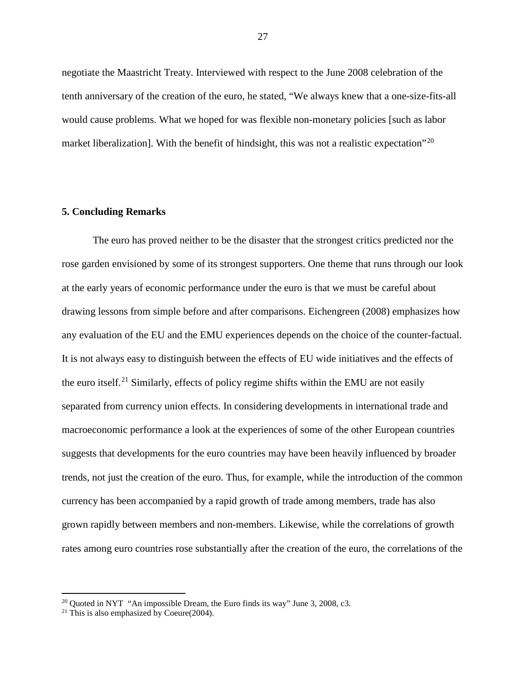negotiate the Maastricht Treaty. Interviewed with respect to the June 2008 celebration of the tenth anniversary of the creation of the euro, he stated, "We always knew that a one-size-fits-all would cause problems. What we hoped for was flexible non-monetary policies [such as labor market liberalization]. With the benefit of hindsight, this was not a realistic expectation<sup> $20$ </sup>

### **5. Concluding Remarks**

The euro has proved neither to be the disaster that the strongest critics predicted nor the rose garden envisioned by some of its strongest supporters. One theme that runs through our look at the early years of economic performance under the euro is that we must be careful about drawing lessons from simple before and after comparisons. Eichengreen (2008) emphasizes how any evaluation of the EU and the EMU experiences depends on the choice of the counter-factual. It is not always easy to distinguish between the effects of EU wide initiatives and the effects of the euro itself.<sup>[21](#page-28-1)</sup> Similarly, effects of policy regime shifts within the EMU are not easily separated from currency union effects. In considering developments in international trade and macroeconomic performance a look at the experiences of some of the other European countries suggests that developments for the euro countries may have been heavily influenced by broader trends, not just the creation of the euro. Thus, for example, while the introduction of the common currency has been accompanied by a rapid growth of trade among members, trade has also grown rapidly between members and non-members. Likewise, while the correlations of growth rates among euro countries rose substantially after the creation of the euro, the correlations of the

<span id="page-28-0"></span><sup>&</sup>lt;sup>20</sup> Quoted in NYT "An impossible Dream, the Euro finds its way" June 3, 2008, c3.

<span id="page-28-1"></span><sup>&</sup>lt;sup>21</sup> This is also emphasized by Coeure(2004).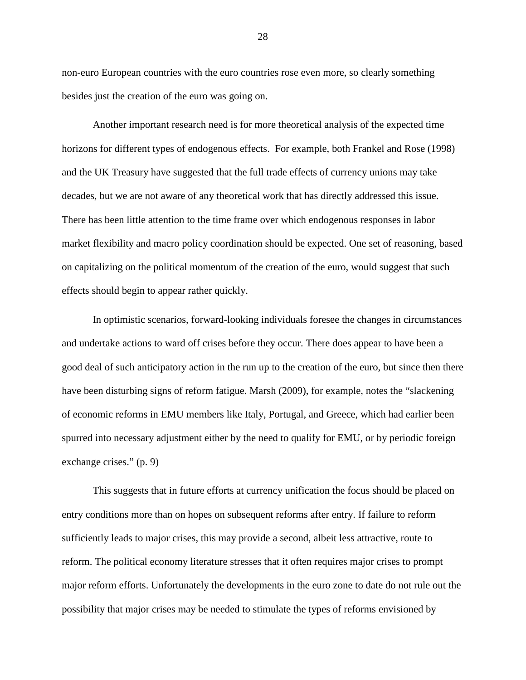non-euro European countries with the euro countries rose even more, so clearly something besides just the creation of the euro was going on.

 Another important research need is for more theoretical analysis of the expected time horizons for different types of endogenous effects. For example, both Frankel and Rose (1998) and the UK Treasury have suggested that the full trade effects of currency unions may take decades, but we are not aware of any theoretical work that has directly addressed this issue. There has been little attention to the time frame over which endogenous responses in labor market flexibility and macro policy coordination should be expected. One set of reasoning, based on capitalizing on the political momentum of the creation of the euro, would suggest that such effects should begin to appear rather quickly.

In optimistic scenarios, forward-looking individuals foresee the changes in circumstances and undertake actions to ward off crises before they occur. There does appear to have been a good deal of such anticipatory action in the run up to the creation of the euro, but since then there have been disturbing signs of reform fatigue. Marsh (2009), for example, notes the "slackening of economic reforms in EMU members like Italy, Portugal, and Greece, which had earlier been spurred into necessary adjustment either by the need to qualify for EMU, or by periodic foreign exchange crises." (p. 9)

This suggests that in future efforts at currency unification the focus should be placed on entry conditions more than on hopes on subsequent reforms after entry. If failure to reform sufficiently leads to major crises, this may provide a second, albeit less attractive, route to reform. The political economy literature stresses that it often requires major crises to prompt major reform efforts. Unfortunately the developments in the euro zone to date do not rule out the possibility that major crises may be needed to stimulate the types of reforms envisioned by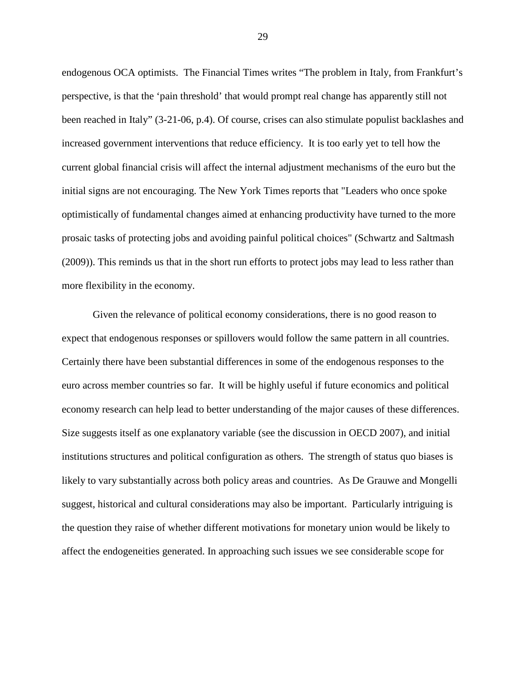endogenous OCA optimists. The Financial Times writes "The problem in Italy, from Frankfurt's perspective, is that the 'pain threshold' that would prompt real change has apparently still not been reached in Italy" (3-21-06, p.4). Of course, crises can also stimulate populist backlashes and increased government interventions that reduce efficiency. It is too early yet to tell how the current global financial crisis will affect the internal adjustment mechanisms of the euro but the initial signs are not encouraging. The New York Times reports that "Leaders who once spoke optimistically of fundamental changes aimed at enhancing productivity have turned to the more prosaic tasks of protecting jobs and avoiding painful political choices" (Schwartz and Saltmash (2009)). This reminds us that in the short run efforts to protect jobs may lead to less rather than more flexibility in the economy.

Given the relevance of political economy considerations, there is no good reason to expect that endogenous responses or spillovers would follow the same pattern in all countries. Certainly there have been substantial differences in some of the endogenous responses to the euro across member countries so far. It will be highly useful if future economics and political economy research can help lead to better understanding of the major causes of these differences. Size suggests itself as one explanatory variable (see the discussion in OECD 2007), and initial institutions structures and political configuration as others. The strength of status quo biases is likely to vary substantially across both policy areas and countries. As De Grauwe and Mongelli suggest, historical and cultural considerations may also be important. Particularly intriguing is the question they raise of whether different motivations for monetary union would be likely to affect the endogeneities generated. In approaching such issues we see considerable scope for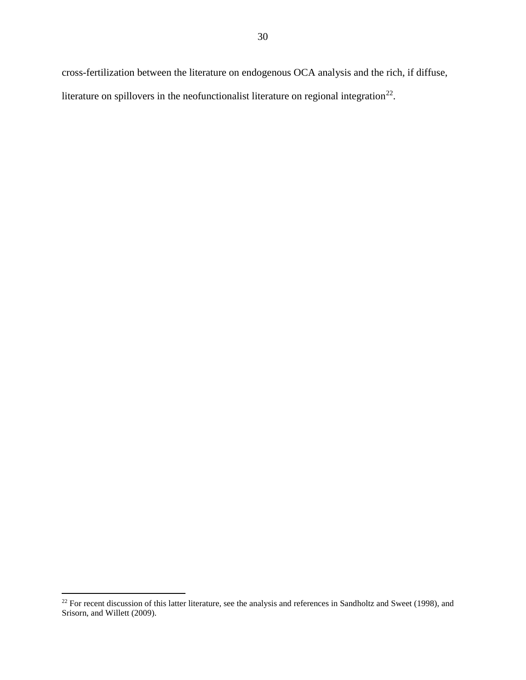cross-fertilization between the literature on endogenous OCA analysis and the rich, if diffuse, literature on spillovers in the neofunctionalist literature on regional integration<sup>22</sup>.

<span id="page-31-0"></span> $22$  For recent discussion of this latter literature, see the analysis and references in Sandholtz and Sweet (1998), and Srisorn, and Willett (2009).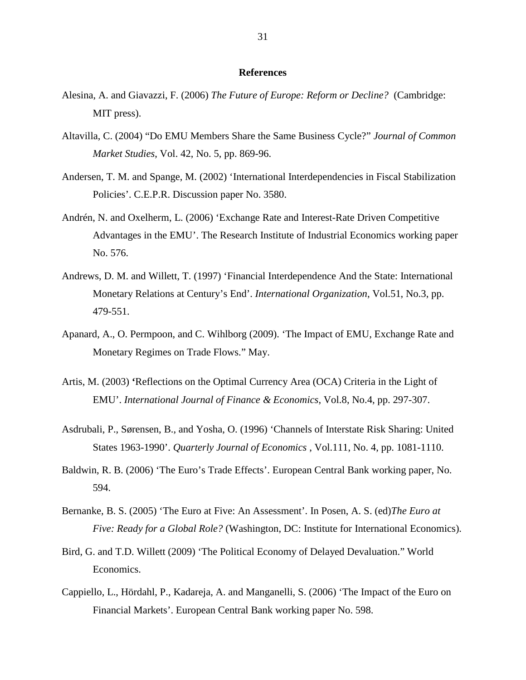## **References**

- Alesina, A. and Giavazzi, F. (2006) *The Future of Europe: Reform or Decline?* (Cambridge: MIT press).
- Altavilla, C. (2004) "Do EMU Members Share the Same Business Cycle?" *Journal of Common Market Studies*, Vol. 42, No. 5, pp. 869-96.
- Andersen, T. M. and Spange, M. (2002) 'International Interdependencies in Fiscal Stabilization Policies'. C.E.P.R. Discussion paper No. 3580.
- Andrén, N. and Oxelherm, L. (2006) 'Exchange Rate and Interest-Rate Driven Competitive Advantages in the EMU'. The Research Institute of Industrial Economics working paper No. 576.
- Andrews, D. M. and Willett, T. (1997) 'Financial Interdependence And the State: International Monetary Relations at Century's End'. *International Organization*, Vol.51, No.3, pp. 479-551.
- Apanard, A., O. Permpoon, and C. Wihlborg (2009). 'The Impact of EMU, Exchange Rate and Monetary Regimes on Trade Flows." May.
- Artis, M. (2003) **'**Reflections on the Optimal Currency Area (OCA) Criteria in the Light of EMU'. *[International Journal of Finance & Economics](http://www3.interscience.wiley.com.ezproxy.libraries.claremont.edu/cgi-bin/jhome/15416)*, Vol.8, No.4, pp. 297-307.
- Asdrubali, P., Sørensen, B., and Yosha, O. (1996) 'Channels of Interstate Risk Sharing: United States 1963-1990'. *Quarterly Journal of Economics* , Vol.111, No. 4, pp. 1081-1110.
- Baldwin, R. B. (2006) 'The Euro's Trade Effects'. European Central Bank working paper, No. 594.
- Bernanke, B. S. (2005) 'The Euro at Five: An Assessment'. In Posen, A. S. (ed)*The Euro at Five: Ready for a Global Role?* (Washington, DC: Institute for International Economics).
- Bird, G. and T.D. Willett (2009) 'The Political Economy of Delayed Devaluation." World Economics.
- Cappiello, L., Hördahl, P., Kadareja, A. and Manganelli, S. (2006) 'The Impact of the Euro on Financial Markets'. European Central Bank working paper No. 598.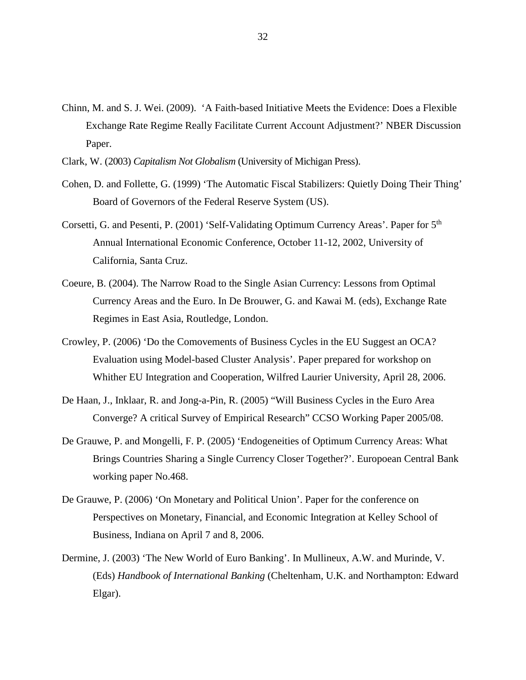- Chinn, M. and S. J. Wei. (2009). 'A Faith-based Initiative Meets the Evidence: Does a Flexible Exchange Rate Regime Really Facilitate Current Account Adjustment?' NBER Discussion Paper.
- Clark, W. (2003) *Capitalism Not Globalism* (University of Michigan Press).
- Cohen, D. and Follette, G. (1999) 'The Automatic Fiscal Stabilizers: Quietly Doing Their Thing' Board of Governors of the Federal Reserve System (US).
- Corsetti, G. and Pesenti, P. (2001) 'Self-Validating Optimum Currency Areas'. Paper for 5<sup>th</sup> Annual International Economic Conference, October 11-12, 2002, University of California, Santa Cruz.
- Coeure, B. (2004). The Narrow Road to the Single Asian Currency: Lessons from Optimal Currency Areas and the Euro. In De Brouwer, G. and Kawai M. (eds), Exchange Rate Regimes in East Asia, Routledge, London.
- Crowley, P. (2006) ['Do the Comovements of Business Cycles in the EU Suggest an OCA?](http://www.wlu.ca/viessmann/EUSA_WS/Crowley.pdf)  [Evaluation using Model-based Cluster Analysis'.](http://www.wlu.ca/viessmann/EUSA_WS/Crowley.pdf) Paper prepared for workshop on Whither EU Integration and Cooperation, Wilfred Laurier University, April 28, 2006.
- De Haan, J., Inklaar, R. and Jong-a-Pin, R. (2005) "Will Business Cycles in the Euro Area Converge? A critical Survey of Empirical Research" CCSO Working Paper 2005/08.
- De Grauwe, P. and Mongelli, F. P. (2005) 'Endogeneities of Optimum Currency Areas: What Brings Countries Sharing a Single Currency Closer Together?'. Europoean Central Bank working paper No.468.
- De Grauwe, P. (2006) 'On Monetary and Political Union'. Paper for the conference on Perspectives on Monetary, Financial, and Economic Integration at Kelley School of Business, Indiana on April 7 and 8, 2006.
- Dermine, J. (2003) 'The New World of Euro Banking'. In Mullineux, A.W. and Murinde, V. (Eds) *Handbook of International Banking* (Cheltenham, U.K. and Northampton: Edward Elgar).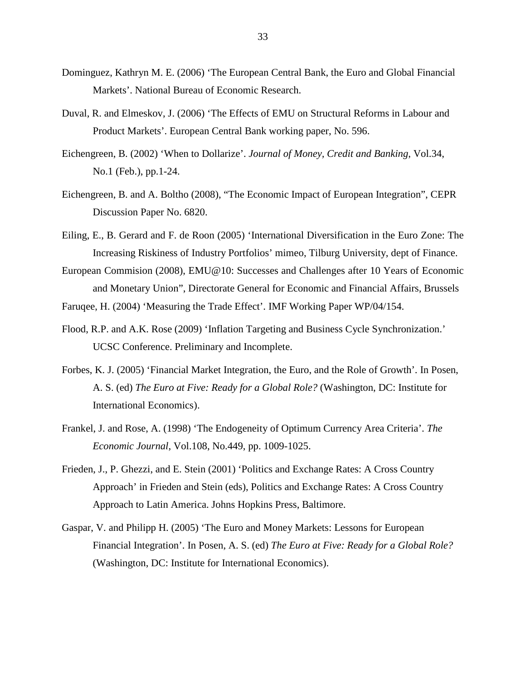- Dominguez, Kathryn M. E. (2006) 'The European Central Bank, the Euro and Global Financial Markets'. National Bureau of Economic Research.
- Duval, R. and Elmeskov, J. (2006) 'The Effects of EMU on Structural Reforms in Labour and Product Markets'. European Central Bank working paper, No. 596.
- Eichengreen, B. (2002) 'When to Dollarize'. *Journal of Money, Credit and Banking*, Vol.34, No.1 (Feb.), pp.1-24.
- Eichengreen, B. and A. Boltho (2008), "The Economic Impact of European Integration", CEPR Discussion Paper No. 6820.
- Eiling, E., B. Gerard and F. de Roon (2005) 'International Diversification in the Euro Zone: The Increasing Riskiness of Industry Portfolios' mimeo, Tilburg University, dept of Finance.
- European Commision (2008), EMU@10: Successes and Challenges after 10 Years of Economic and Monetary Union", Directorate General for Economic and Financial Affairs, Brussels
- Faruqee, H. (2004) 'Measuring the Trade Effect'. IMF Working Paper WP/04/154.
- Flood, R.P. and A.K. Rose (2009) 'Inflation Targeting and Business Cycle Synchronization.' UCSC Conference. Preliminary and Incomplete.
- Forbes, K. J. (2005) 'Financial Market Integration, the Euro, and the Role of Growth'. In Posen, A. S. (ed) *The Euro at Five: Ready for a Global Role?* (Washington, DC: Institute for International Economics).
- Frankel, J. and Rose, A. (1998) 'The Endogeneity of Optimum Currency Area Criteria'. *The Economic Journal*, Vol.108, No.449, pp. 1009-1025.
- Frieden, J., P. Ghezzi, and E. Stein (2001) 'Politics and Exchange Rates: A Cross Country Approach' in Frieden and Stein (eds), Politics and Exchange Rates: A Cross Country Approach to Latin America. Johns Hopkins Press, Baltimore.
- Gaspar, V. and Philipp H. (2005) 'The Euro and Money Markets: Lessons for European Financial Integration'. In Posen, A. S. (ed) *The Euro at Five: Ready for a Global Role?* (Washington, DC: Institute for International Economics).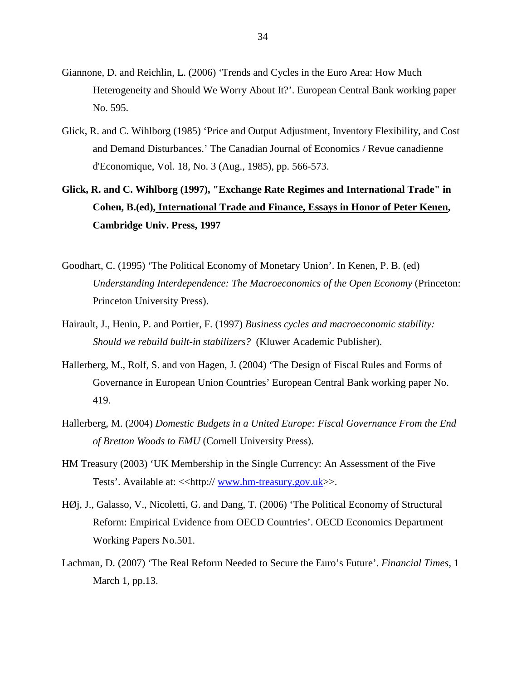- Giannone, D. and Reichlin, L. (2006) 'Trends and Cycles in the Euro Area: How Much Heterogeneity and Should We Worry About It?'. European Central Bank working paper No. 595.
- Glick, R. and C. Wihlborg (1985) 'Price and Output Adjustment, Inventory Flexibility, and Cost and Demand Disturbances.' The Canadian Journal of Economics / Revue canadienne d'Economique, Vol. 18, No. 3 (Aug., 1985), pp. 566-573.
- **Glick, R. and C. Wihlborg (1997), "Exchange Rate Regimes and International Trade" in Cohen, B.(ed), International Trade and Finance, Essays in Honor of Peter Kenen, Cambridge Univ. Press, 1997**
- Goodhart, C. (1995) 'The Political Economy of Monetary Union'. In Kenen, P. B. (ed) *Understanding Interdependence: The Macroeconomics of the Open Economy* (Princeton: Princeton University Press).
- Hairault, J., Henin, P. and Portier, F. (1997) *Business cycles and macroeconomic stability: Should we rebuild built-in stabilizers?* (Kluwer Academic Publisher).
- Hallerberg, M., Rolf, S. and von Hagen, J. (2004) 'The Design of Fiscal Rules and Forms of Governance in European Union Countries' European Central Bank working paper No. 419.
- Hallerberg, M. (2004) *Domestic Budgets in a United Europe: Fiscal Governance From the End of Bretton Woods to EMU* (Cornell University Press).
- HM Treasury (2003) 'UK Membership in the Single Currency: An Assessment of the Five Tests'. Available at: <<http://www.hm-treasury.gov.uk>>.
- HØj, J., Galasso, V., Nicoletti, G. and Dang, T. (2006) 'The Political Economy of Structural Reform: Empirical Evidence from OECD Countries'. OECD Economics Department Working Papers No.501.
- Lachman, D. (2007) 'The Real Reform Needed to Secure the Euro's Future'. *Financial Times*, 1 March 1, pp.13.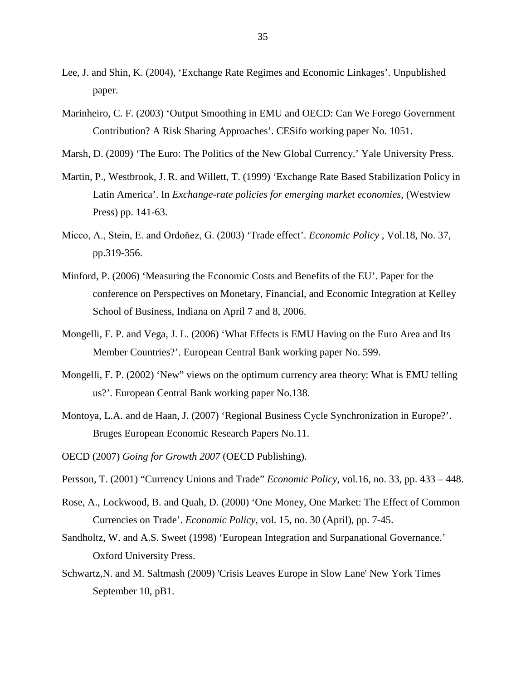- Lee, J. and Shin, K. (2004), 'Exchange Rate Regimes and Economic Linkages'. Unpublished paper.
- Marinheiro, C. F. (2003) 'Output Smoothing in EMU and OECD: Can We Forego Government Contribution? A Risk Sharing Approaches'. CESifo working paper No. 1051.
- Marsh, D. (2009) 'The Euro: The Politics of the New Global Currency.' Yale University Press.
- Martin, P., Westbrook, J. R. and Willett, T. (1999) 'Exchange Rate Based Stabilization Policy in Latin America'. In *Exchange-rate policies for emerging market economies*, (Westview Press) pp. 141-63.
- Micco, A., Stein, E. and Ordoňez, G. (2003) 'Trade effect'. *Economic Policy* , Vol.18, No. 37, pp.319-356.
- Minford, P. (2006) 'Measuring the Economic Costs and Benefits of the EU'. Paper for the conference on Perspectives on Monetary, Financial, and Economic Integration at Kelley School of Business, Indiana on April 7 and 8, 2006.
- Mongelli, F. P. and Vega, J. L. (2006) 'What Effects is EMU Having on the Euro Area and Its Member Countries?'. European Central Bank working paper No. 599.
- Mongelli, F. P. (2002) 'New" views on the optimum currency area theory: What is EMU telling us?'. European Central Bank working paper No.138.
- Montoya, L.A. and de Haan, J. (2007) 'Regional Business Cycle Synchronization in Europe?'. Bruges European Economic Research Papers No.11.
- OECD (2007) *Going for Growth 2007* (OECD Publishing).
- Persson, T. (2001) "Currency Unions and Trade" *Economic Policy*, vol.16, no. 33, pp. 433 448.
- Rose, A., Lockwood, B. and Quah, D. (2000) 'One Money, One Market: The Effect of Common Currencies on Trade'. *Economic Policy*, vol. 15, no. 30 (April), pp. 7-45.
- Sandholtz, W. and A.S. Sweet (1998) 'European Integration and Surpanational Governance.' Oxford University Press.
- Schwartz,N. and M. Saltmash (2009) 'Crisis Leaves Europe in Slow Lane' New York Times September 10, pB1.